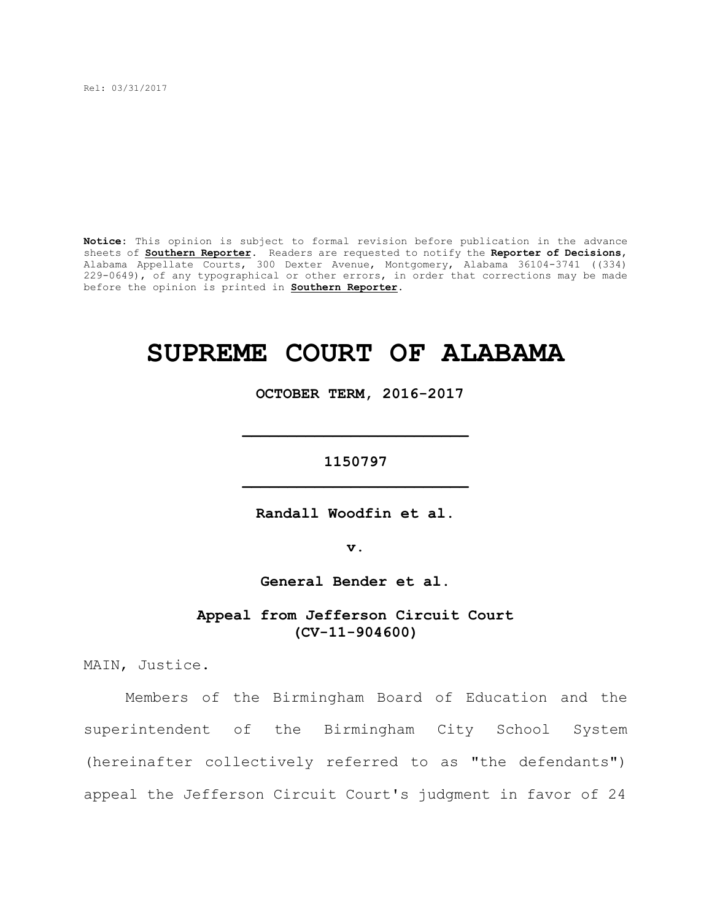Rel: 03/31/2017

**Notice:** This opinion is subject to formal revision before publication in the advance sheets of **Southern Reporter**. Readers are requested to notify the **Reporter of Decisions**, Alabama Appellate Courts, 300 Dexter Avenue, Montgomery, Alabama 36104-3741 ((334) 229-0649), of any typographical or other errors, in order that corrections may be made before the opinion is printed in **Southern Reporter**.

# **SUPREME COURT OF ALABAMA**

 **OCTOBER TERM, 2016-2017**

**1150797 \_\_\_\_\_\_\_\_\_\_\_\_\_\_\_\_\_\_\_\_\_\_\_\_\_**

**\_\_\_\_\_\_\_\_\_\_\_\_\_\_\_\_\_\_\_\_\_\_\_\_\_**

**Randall Woodfin et al.**

**v.**

**General Bender et al.**

**Appeal from Jefferson Circuit Court (CV-11-904600)**

MAIN, Justice.

Members of the Birmingham Board of Education and the superintendent of the Birmingham City School System (hereinafter collectively referred to as "the defendants") appeal the Jefferson Circuit Court's judgment in favor of 24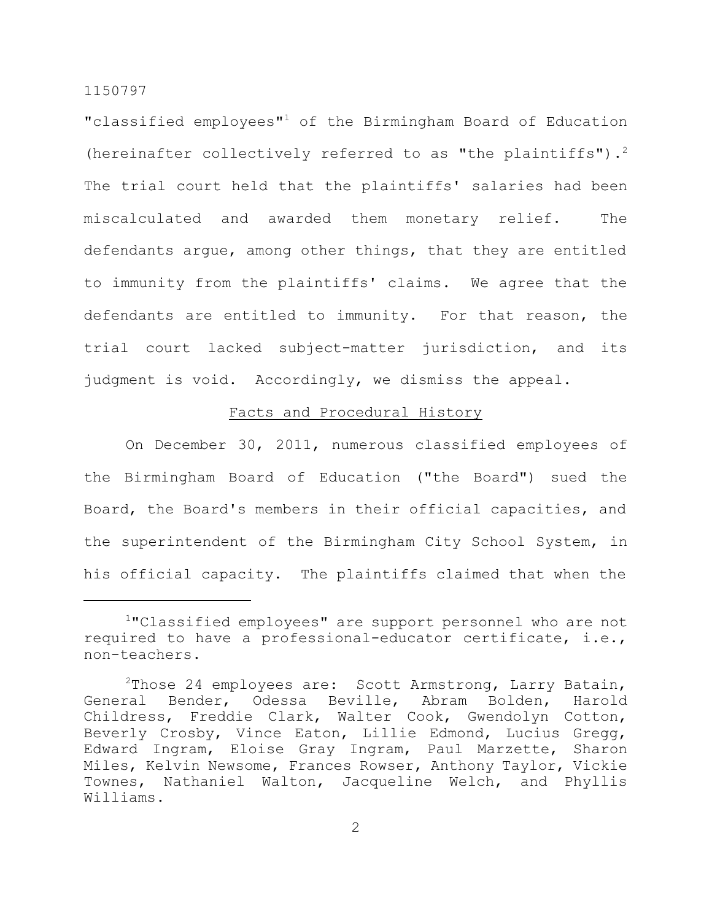"classified employees"<sup>1</sup> of the Birmingham Board of Education (hereinafter collectively referred to as "the plaintiffs").<sup>2</sup> The trial court held that the plaintiffs' salaries had been miscalculated and awarded them monetary relief. The defendants argue, among other things, that they are entitled to immunity from the plaintiffs' claims. We agree that the defendants are entitled to immunity. For that reason, the trial court lacked subject-matter jurisdiction, and its judgment is void. Accordingly, we dismiss the appeal.

# Facts and Procedural History

On December 30, 2011, numerous classified employees of the Birmingham Board of Education ("the Board") sued the Board, the Board's members in their official capacities, and the superintendent of the Birmingham City School System, in his official capacity. The plaintiffs claimed that when the

<sup>1</sup>"Classified employees" are support personnel who are not required to have a professional-educator certificate, i.e., non-teachers.

<sup>&</sup>lt;sup>2</sup>Those 24 employees are: Scott Armstrong, Larry Batain, General Bender, Odessa Beville, Abram Bolden, Harold Childress, Freddie Clark, Walter Cook, Gwendolyn Cotton, Beverly Crosby, Vince Eaton, Lillie Edmond, Lucius Gregg, Edward Ingram, Eloise Gray Ingram, Paul Marzette, Sharon Miles, Kelvin Newsome, Frances Rowser, Anthony Taylor, Vickie Townes, Nathaniel Walton, Jacqueline Welch, and Phyllis Williams.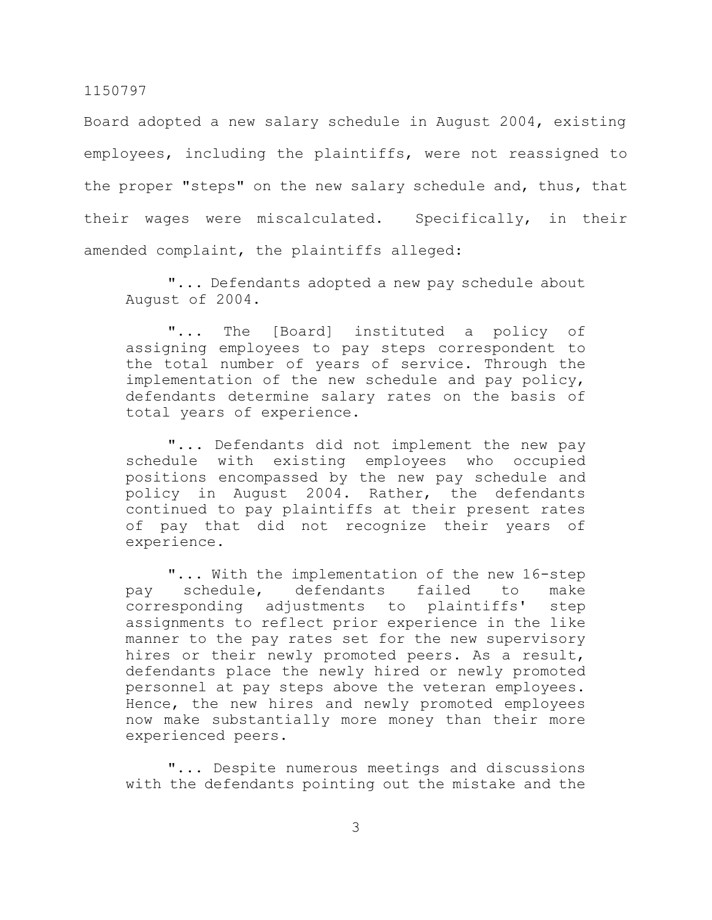Board adopted a new salary schedule in August 2004, existing employees, including the plaintiffs, were not reassigned to the proper "steps" on the new salary schedule and, thus, that their wages were miscalculated. Specifically, in their amended complaint, the plaintiffs alleged:

"... Defendants adopted a new pay schedule about August of 2004.

"... The [Board] instituted a policy of assigning employees to pay steps correspondent to the total number of years of service. Through the implementation of the new schedule and pay policy, defendants determine salary rates on the basis of total years of experience.

"... Defendants did not implement the new pay schedule with existing employees who occupied positions encompassed by the new pay schedule and policy in August 2004. Rather, the defendants continued to pay plaintiffs at their present rates of pay that did not recognize their years of experience.

"... With the implementation of the new 16-step pay schedule, defendants failed to make corresponding adjustments to plaintiffs' step assignments to reflect prior experience in the like manner to the pay rates set for the new supervisory hires or their newly promoted peers. As a result, defendants place the newly hired or newly promoted personnel at pay steps above the veteran employees. Hence, the new hires and newly promoted employees now make substantially more money than their more experienced peers.

"... Despite numerous meetings and discussions with the defendants pointing out the mistake and the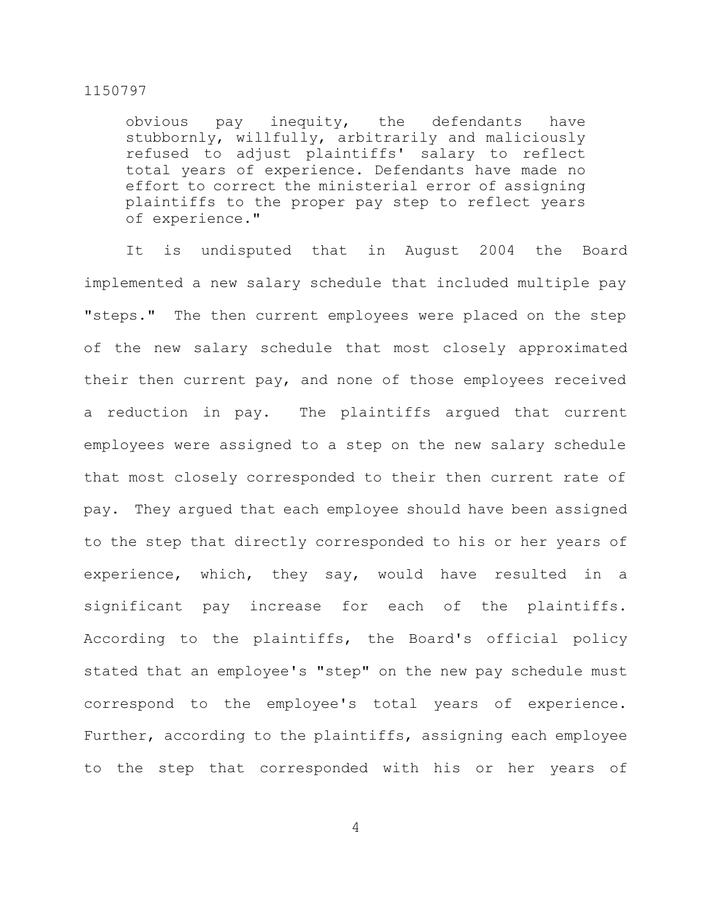obvious pay inequity, the defendants have stubbornly, willfully, arbitrarily and maliciously refused to adjust plaintiffs' salary to reflect total years of experience. Defendants have made no effort to correct the ministerial error of assigning plaintiffs to the proper pay step to reflect years of experience."

It is undisputed that in August 2004 the Board implemented a new salary schedule that included multiple pay "steps." The then current employees were placed on the step of the new salary schedule that most closely approximated their then current pay, and none of those employees received a reduction in pay. The plaintiffs argued that current employees were assigned to a step on the new salary schedule that most closely corresponded to their then current rate of pay. They argued that each employee should have been assigned to the step that directly corresponded to his or her years of experience, which, they say, would have resulted in a significant pay increase for each of the plaintiffs. According to the plaintiffs, the Board's official policy stated that an employee's "step" on the new pay schedule must correspond to the employee's total years of experience. Further, according to the plaintiffs, assigning each employee to the step that corresponded with his or her years of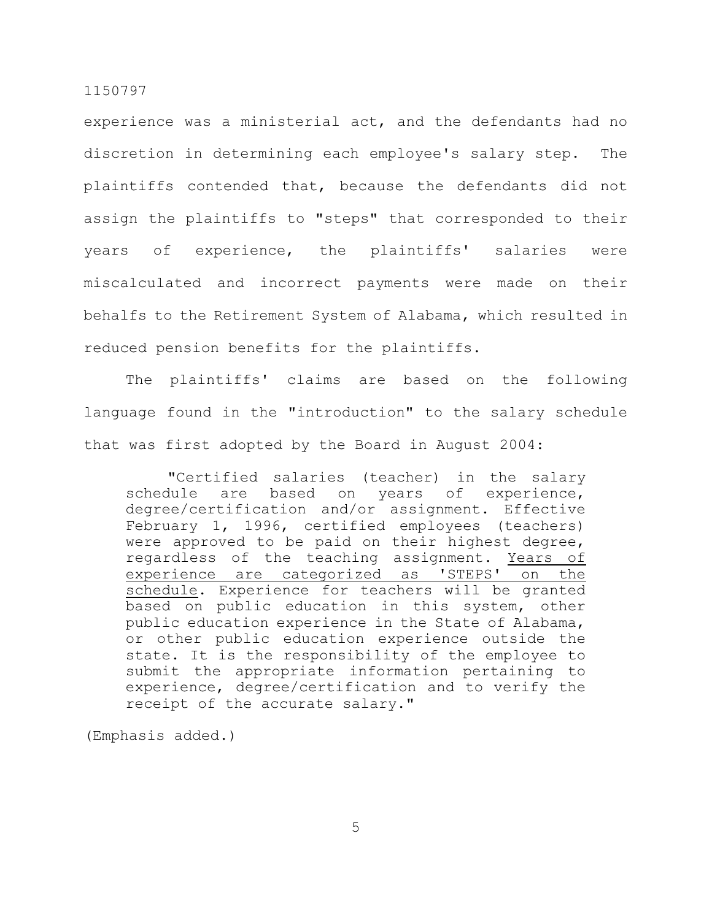experience was a ministerial act, and the defendants had no discretion in determining each employee's salary step. The plaintiffs contended that, because the defendants did not assign the plaintiffs to "steps" that corresponded to their years of experience, the plaintiffs' salaries were miscalculated and incorrect payments were made on their behalfs to the Retirement System of Alabama, which resulted in reduced pension benefits for the plaintiffs.

The plaintiffs' claims are based on the following language found in the "introduction" to the salary schedule that was first adopted by the Board in August 2004:

"Certified salaries (teacher) in the salary schedule are based on years of experience, degree/certification and/or assignment. Effective February 1, 1996, certified employees (teachers) were approved to be paid on their highest degree, regardless of the teaching assignment. Years of experience are categorized as 'STEPS' on the schedule. Experience for teachers will be granted based on public education in this system, other public education experience in the State of Alabama, or other public education experience outside the state. It is the responsibility of the employee to submit the appropriate information pertaining to experience, degree/certification and to verify the receipt of the accurate salary."

(Emphasis added.)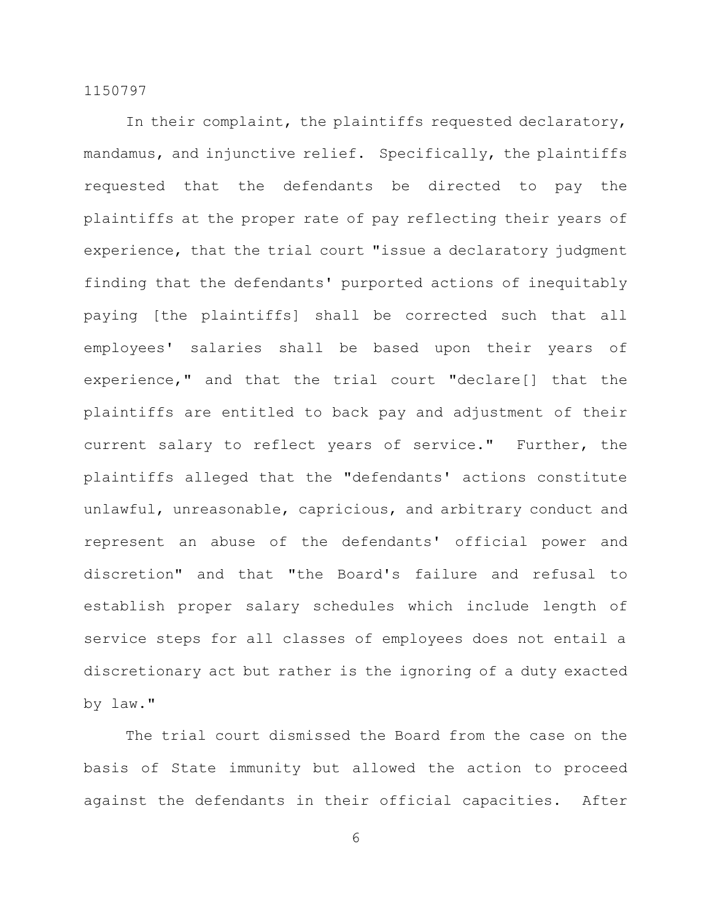In their complaint, the plaintiffs requested declaratory, mandamus, and injunctive relief. Specifically, the plaintiffs requested that the defendants be directed to pay the plaintiffs at the proper rate of pay reflecting their years of experience, that the trial court "issue a declaratory judgment finding that the defendants' purported actions of inequitably paying [the plaintiffs] shall be corrected such that all employees' salaries shall be based upon their years of experience," and that the trial court "declare[] that the plaintiffs are entitled to back pay and adjustment of their current salary to reflect years of service." Further, the plaintiffs alleged that the "defendants' actions constitute unlawful, unreasonable, capricious, and arbitrary conduct and represent an abuse of the defendants' official power and discretion" and that "the Board's failure and refusal to establish proper salary schedules which include length of service steps for all classes of employees does not entail a discretionary act but rather is the ignoring of a duty exacted by law."

The trial court dismissed the Board from the case on the basis of State immunity but allowed the action to proceed against the defendants in their official capacities. After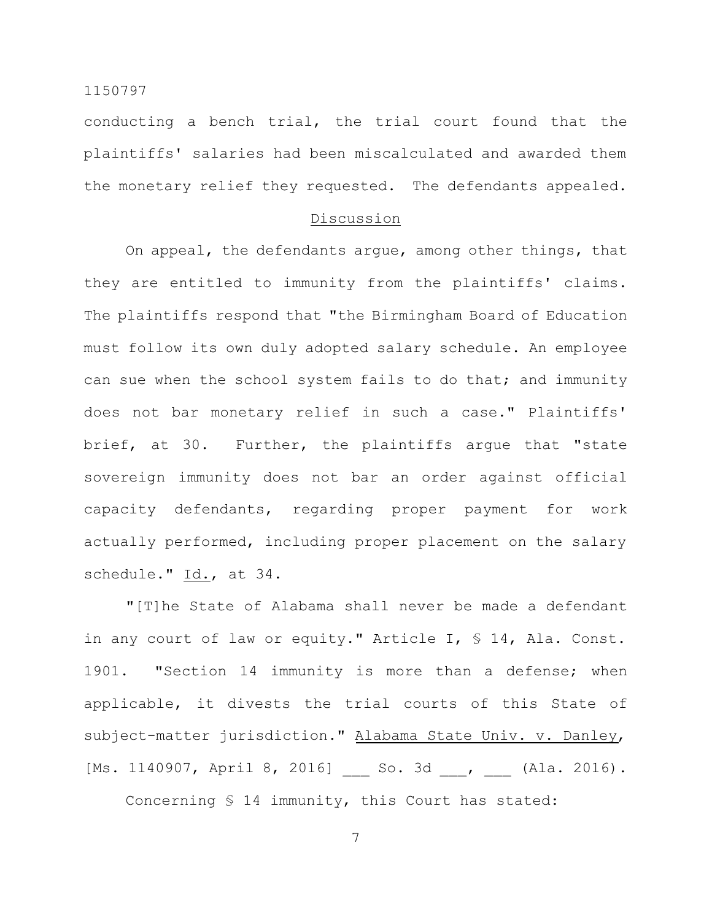conducting a bench trial, the trial court found that the plaintiffs' salaries had been miscalculated and awarded them the monetary relief they requested. The defendants appealed.

# Discussion

On appeal, the defendants argue, among other things, that they are entitled to immunity from the plaintiffs' claims. The plaintiffs respond that "the Birmingham Board of Education must follow its own duly adopted salary schedule. An employee can sue when the school system fails to do that; and immunity does not bar monetary relief in such a case." Plaintiffs' brief, at 30. Further, the plaintiffs argue that "state sovereign immunity does not bar an order against official capacity defendants, regarding proper payment for work actually performed, including proper placement on the salary schedule." Id., at 34.

"[T]he State of Alabama shall never be made a defendant in any court of law or equity." Article I, § 14, Ala. Const. 1901. "Section 14 immunity is more than a defense; when applicable, it divests the trial courts of this State of subject-matter jurisdiction." Alabama State Univ. v. Danley, [Ms. 1140907, April 8, 2016] \_\_\_ So. 3d \_\_\_, \_\_\_ (Ala. 2016).

Concerning § 14 immunity, this Court has stated: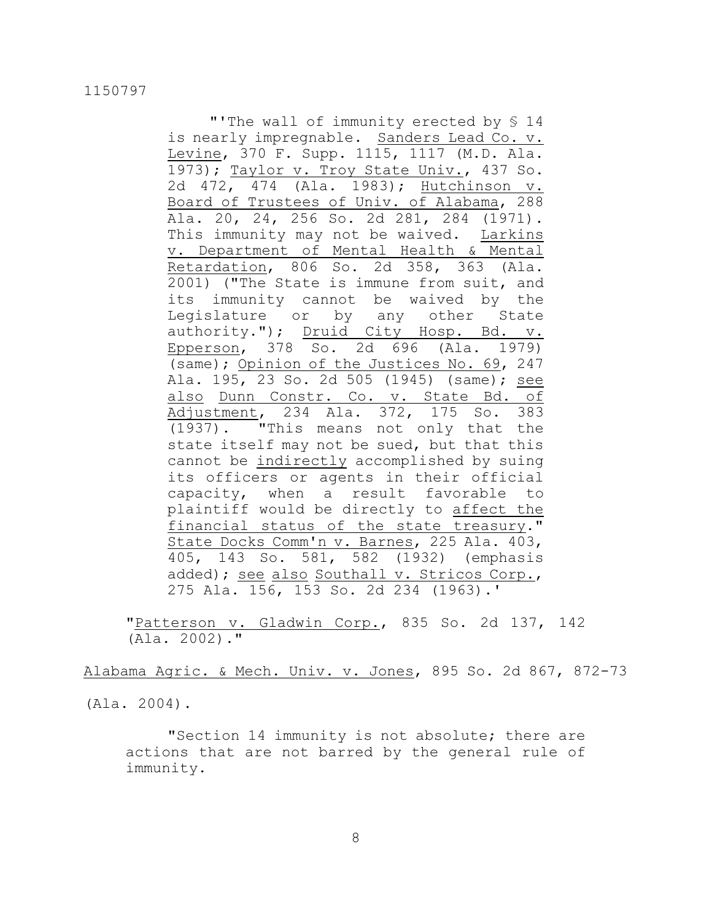"'The wall of immunity erected by § 14 is nearly impregnable. Sanders Lead Co. v. Levine, 370 F. Supp. 1115, 1117 (M.D. Ala. 1973); Taylor v. Troy State Univ., 437 So. 2d 472, 474 (Ala. 1983); Hutchinson v. Board of Trustees of Univ. of Alabama, 288 Ala. 20, 24, 256 So. 2d 281, 284 (1971). This immunity may not be waived. Larkins v. Department of Mental Health & Mental Retardation, 806 So. 2d 358, 363 (Ala. 2001) ("The State is immune from suit, and its immunity cannot be waived by the Legislature or by any other State authority."); Druid City Hosp. Bd. v. Epperson, 378 So. 2d 696 (Ala. 1979) (same); Opinion of the Justices No. 69, 247 Ala. 195, 23 So. 2d 505 (1945) (same); see also Dunn Constr. Co. v. State Bd. of Adjustment, 234 Ala. 372, 175 So. 383 (1937). "This means not only that the state itself may not be sued, but that this cannot be indirectly accomplished by suing its officers or agents in their official capacity, when a result favorable to plaintiff would be directly to affect the financial status of the state treasury." State Docks Comm'n v. Barnes, 225 Ala. 403, 405, 143 So. 581, 582 (1932) (emphasis added); see also Southall v. Stricos Corp., 275 Ala. 156, 153 So. 2d 234 (1963).'

"Patterson v. Gladwin Corp., 835 So. 2d 137, 142 (Ala. 2002)."

Alabama Agric. & Mech. Univ. v. Jones, 895 So. 2d 867, 872-73

(Ala. 2004).

"Section 14 immunity is not absolute; there are actions that are not barred by the general rule of immunity.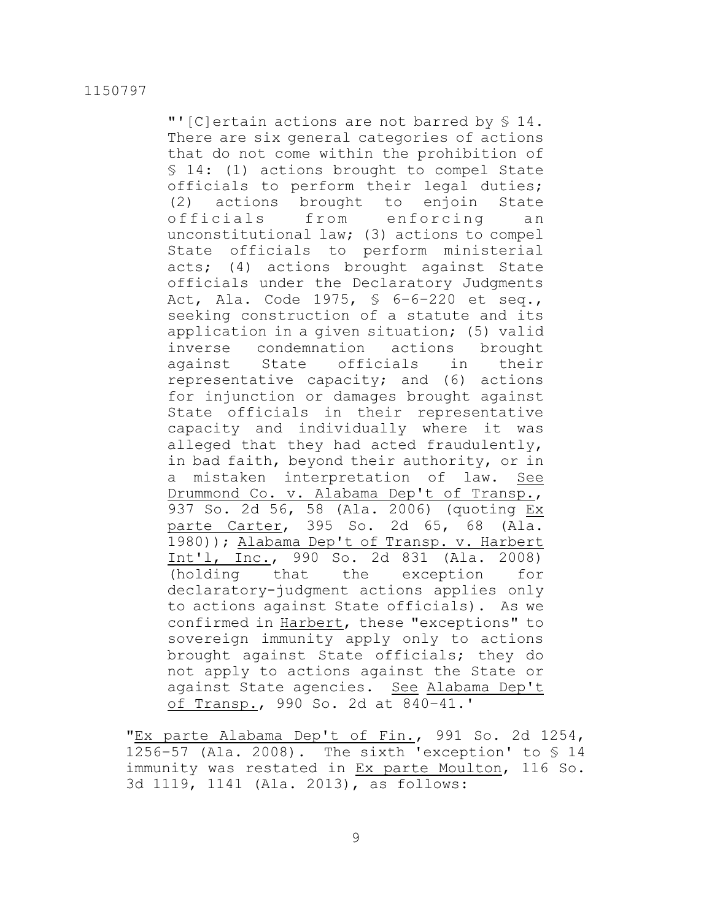"'[C]ertain actions are not barred by § 14. There are six general categories of actions that do not come within the prohibition of § 14: (1) actions brought to compel State officials to perform their legal duties; (2) actions brought to enjoin State officials from enforcing an unconstitutional law; (3) actions to compel State officials to perform ministerial acts; (4) actions brought against State officials under the Declaratory Judgments Act, Ala. Code 1975, § 6–6–220 et seq., seeking construction of a statute and its application in a given situation; (5) valid inverse condemnation actions brought against State officials in their representative capacity; and (6) actions for injunction or damages brought against State officials in their representative capacity and individually where it was alleged that they had acted fraudulently, in bad faith, beyond their authority, or in a mistaken interpretation of law. See Drummond Co. v. Alabama Dep't of Transp., 937 So. 2d 56, 58 (Ala. 2006) (quoting Ex parte Carter, 395 So. 2d 65, 68 (Ala. 1980)); Alabama Dep't of Transp. v. Harbert Int'l, Inc., 990 So. 2d 831 (Ala. 2008) (holding that the exception for declaratory-judgment actions applies only to actions against State officials). As we confirmed in Harbert, these "exceptions" to sovereign immunity apply only to actions brought against State officials; they do not apply to actions against the State or against State agencies. See Alabama Dep't of Transp., 990 So. 2d at 840–41.'

"Ex parte Alabama Dep't of Fin., 991 So. 2d 1254, 1256-57 (Ala. 2008). The sixth 'exception' to  $\S$  14 immunity was restated in Ex parte Moulton, 116 So. 3d 1119, 1141 (Ala. 2013), as follows: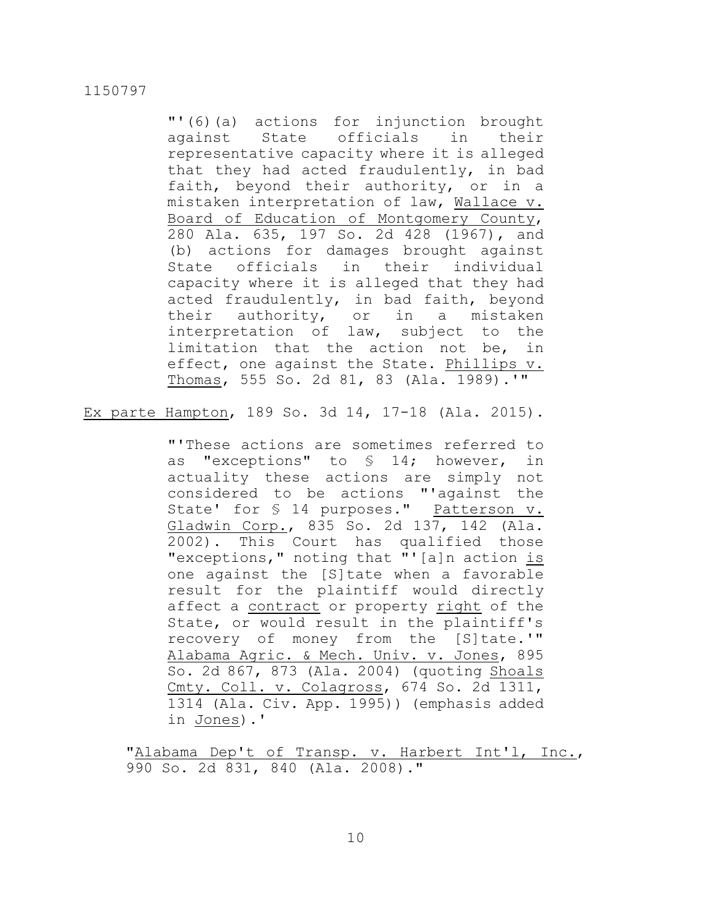"'(6)(a) actions for injunction brought against State officials in their representative capacity where it is alleged that they had acted fraudulently, in bad faith, beyond their authority, or in a mistaken interpretation of law, Wallace v. Board of Education of Montgomery County, 280 Ala. 635, 197 So. 2d 428 (1967), and (b) actions for damages brought against State officials in their individual capacity where it is alleged that they had acted fraudulently, in bad faith, beyond their authority, or in a mistaken interpretation of law, subject to the limitation that the action not be, in effect, one against the State. Phillips v. Thomas, 555 So. 2d 81, 83 (Ala. 1989).'"

Ex parte Hampton, 189 So. 3d 14, 17-18 (Ala. 2015).

"'These actions are sometimes referred to as "exceptions" to § 14; however, in actuality these actions are simply not considered to be actions "'against the State' for § 14 purposes." Patterson v. Gladwin Corp., 835 So. 2d 137, 142 (Ala. 2002). This Court has qualified those "exceptions," noting that "'[a]n action is one against the [S]tate when a favorable result for the plaintiff would directly affect a contract or property right of the State, or would result in the plaintiff's recovery of money from the [S]tate.'" Alabama Agric. & Mech. Univ. v. Jones, 895 So. 2d 867, 873 (Ala. 2004) (quoting Shoals Cmty. Coll. v. Colagross, 674 So. 2d 1311, 1314 (Ala. Civ. App. 1995)) (emphasis added in Jones).'

"Alabama Dep't of Transp. v. Harbert Int'l, Inc., 990 So. 2d 831, 840 (Ala. 2008)."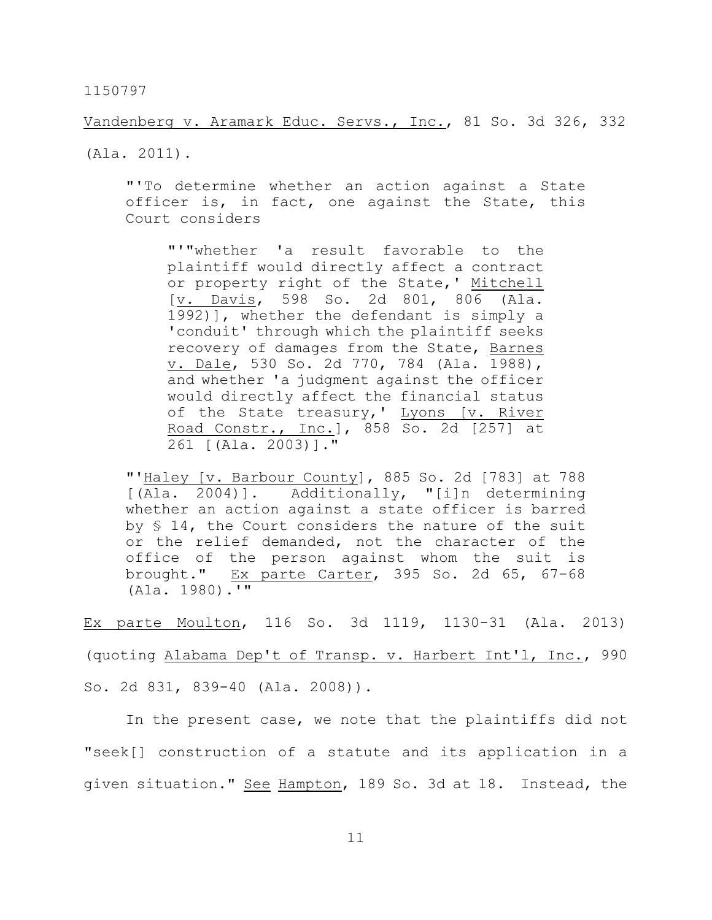Vandenberg v. Aramark Educ. Servs., Inc., 81 So. 3d 326, 332

(Ala. 2011).

"'To determine whether an action against a State officer is, in fact, one against the State, this Court considers

"'"whether 'a result favorable to the plaintiff would directly affect a contract or property right of the State,' Mitchell [v. Davis, 598 So. 2d 801, 806 (Ala. 1992)], whether the defendant is simply a 'conduit' through which the plaintiff seeks recovery of damages from the State, Barnes v. Dale, 530 So. 2d 770, 784 (Ala. 1988), and whether 'a judgment against the officer would directly affect the financial status of the State treasury,' Lyons [v. River Road Constr., Inc.], 858 So. 2d [257] at 261 [(Ala. 2003)]."

"'Haley [v. Barbour County], 885 So. 2d [783] at 788 [(Ala. 2004)]. Additionally, "[i]n determining whether an action against a state officer is barred by § 14, the Court considers the nature of the suit or the relief demanded, not the character of the office of the person against whom the suit is brought." Ex parte Carter, 395 So. 2d 65, 67–68 (Ala. 1980).'"

Ex parte Moulton, 116 So. 3d 1119, 1130-31 (Ala. 2013) (quoting Alabama Dep't of Transp. v. Harbert Int'l, Inc., 990 So. 2d 831, 839-40 (Ala. 2008)).

In the present case, we note that the plaintiffs did not "seek[] construction of a statute and its application in a given situation." See Hampton, 189 So. 3d at 18. Instead, the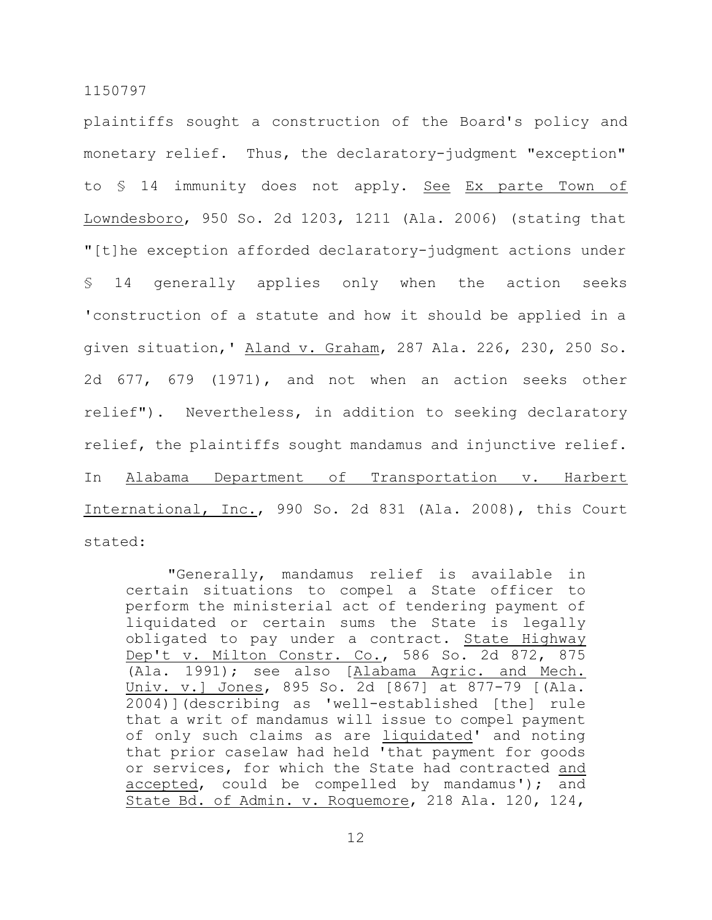plaintiffs sought a construction of the Board's policy and monetary relief. Thus, the declaratory-judgment "exception" to § 14 immunity does not apply. See Ex parte Town of Lowndesboro, 950 So. 2d 1203, 1211 (Ala. 2006) (stating that "[t]he exception afforded declaratory-judgment actions under § 14 generally applies only when the action seeks 'construction of a statute and how it should be applied in a given situation,' Aland v. Graham, 287 Ala. 226, 230, 250 So. 2d 677, 679 (1971), and not when an action seeks other relief"). Nevertheless, in addition to seeking declaratory relief, the plaintiffs sought mandamus and injunctive relief. In Alabama Department of Transportation v. Harbert International, Inc., 990 So. 2d 831 (Ala. 2008), this Court stated:

"Generally, mandamus relief is available in certain situations to compel a State officer to perform the ministerial act of tendering payment of liquidated or certain sums the State is legally obligated to pay under a contract. State Highway Dep't v. Milton Constr. Co., 586 So. 2d 872, 875 (Ala. 1991); see also [Alabama Agric. and Mech. Univ. v.] Jones, 895 So. 2d [867] at 877-79 [(Ala. 2004)](describing as 'well-established [the] rule that a writ of mandamus will issue to compel payment of only such claims as are *liquidated'* and noting that prior caselaw had held 'that payment for goods or services, for which the State had contracted and accepted, could be compelled by mandamus'); and State Bd. of Admin. v. Roquemore, 218 Ala. 120, 124,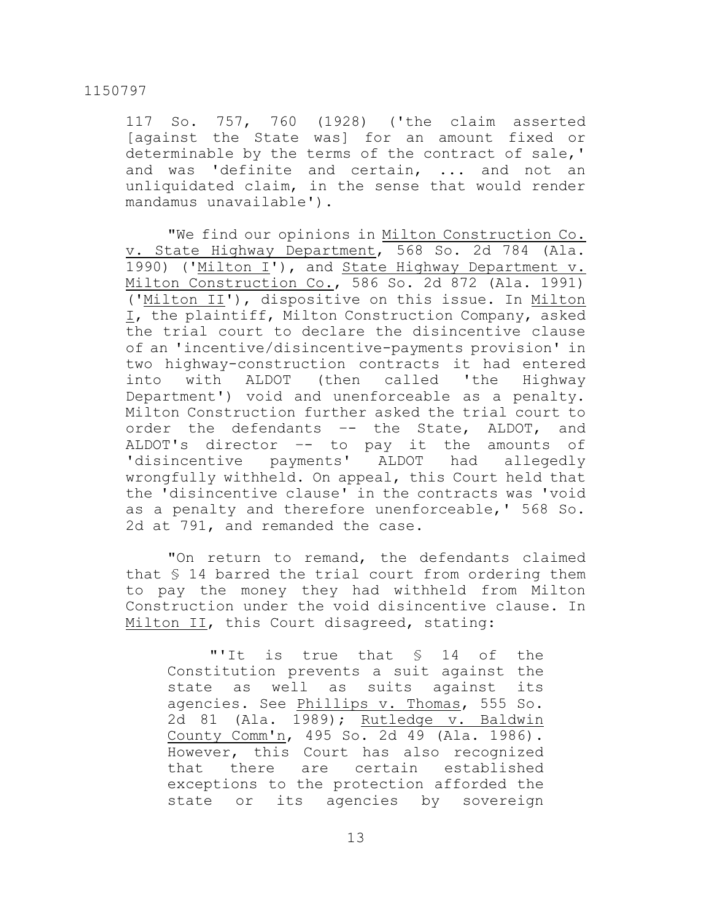117 So. 757, 760 (1928) ('the claim asserted [against the State was] for an amount fixed or determinable by the terms of the contract of sale,' and was 'definite and certain, ... and not an unliquidated claim, in the sense that would render mandamus unavailable').

"We find our opinions in Milton Construction Co. v. State Highway Department, 568 So. 2d 784 (Ala. 1990) ('Milton I'), and State Highway Department v. Milton Construction Co., 586 So. 2d 872 (Ala. 1991) ('Milton II'), dispositive on this issue. In Milton I, the plaintiff, Milton Construction Company, asked the trial court to declare the disincentive clause of an 'incentive/disincentive-payments provision' in two highway-construction contracts it had entered into with ALDOT (then called 'the Highway Department') void and unenforceable as a penalty. Milton Construction further asked the trial court to order the defendants –- the State, ALDOT, and ALDOT's director –- to pay it the amounts of 'disincentive payments' ALDOT had allegedly wrongfully withheld. On appeal, this Court held that the 'disincentive clause' in the contracts was 'void as a penalty and therefore unenforceable,' 568 So. 2d at 791, and remanded the case.

"On return to remand, the defendants claimed that § 14 barred the trial court from ordering them to pay the money they had withheld from Milton Construction under the void disincentive clause. In Milton II, this Court disagreed, stating:

"'It is true that § 14 of the Constitution prevents a suit against the state as well as suits against its agencies. See Phillips v. Thomas, 555 So. 2d 81 (Ala. 1989); Rutledge v. Baldwin County Comm'n, 495 So. 2d 49 (Ala. 1986). However, this Court has also recognized that there are certain established exceptions to the protection afforded the state or its agencies by sovereign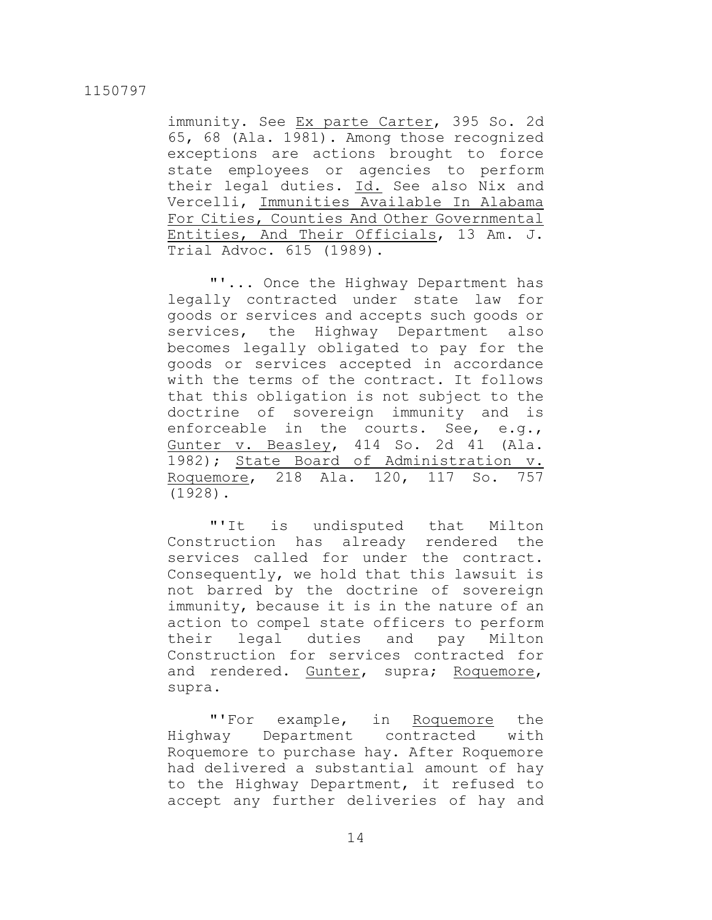immunity. See Ex parte Carter, 395 So. 2d 65, 68 (Ala. 1981). Among those recognized exceptions are actions brought to force state employees or agencies to perform their legal duties. Id. See also Nix and Vercelli, Immunities Available In Alabama For Cities, Counties And Other Governmental Entities, And Their Officials, 13 Am. J. Trial Advoc. 615 (1989).

"'... Once the Highway Department has legally contracted under state law for goods or services and accepts such goods or services, the Highway Department also becomes legally obligated to pay for the goods or services accepted in accordance with the terms of the contract. It follows that this obligation is not subject to the doctrine of sovereign immunity and is enforceable in the courts. See, e.g., Gunter v. Beasley, 414 So. 2d 41 (Ala. 1982); State Board of Administration v. Roquemore, 218 Ala. 120, 117 So. 757 (1928).

"'It is undisputed that Milton Construction has already rendered the services called for under the contract. Consequently, we hold that this lawsuit is not barred by the doctrine of sovereign immunity, because it is in the nature of an action to compel state officers to perform their legal duties and pay Milton Construction for services contracted for and rendered. Gunter, supra; Roquemore, supra.

"'For example, in Roquemore the Highway Department contracted with Roquemore to purchase hay. After Roquemore had delivered a substantial amount of hay to the Highway Department, it refused to accept any further deliveries of hay and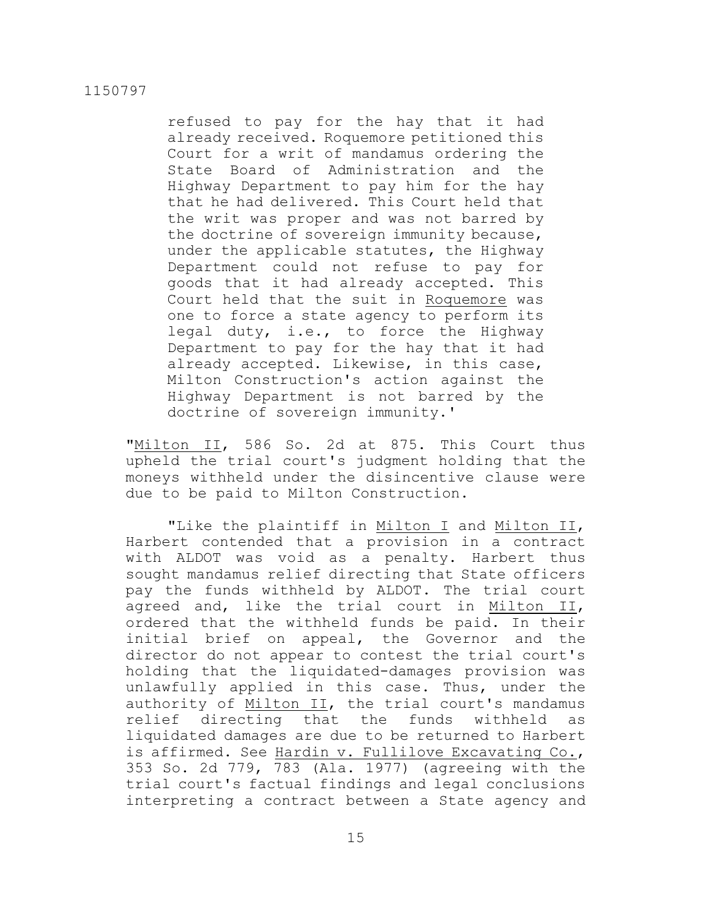refused to pay for the hay that it had already received. Roquemore petitioned this Court for a writ of mandamus ordering the State Board of Administration and the Highway Department to pay him for the hay that he had delivered. This Court held that the writ was proper and was not barred by the doctrine of sovereign immunity because, under the applicable statutes, the Highway Department could not refuse to pay for goods that it had already accepted. This Court held that the suit in Roquemore was one to force a state agency to perform its legal duty, i.e., to force the Highway Department to pay for the hay that it had already accepted. Likewise, in this case, Milton Construction's action against the Highway Department is not barred by the doctrine of sovereign immunity.'

"Milton II, 586 So. 2d at 875. This Court thus upheld the trial court's judgment holding that the moneys withheld under the disincentive clause were due to be paid to Milton Construction.

"Like the plaintiff in Milton I and Milton II, Harbert contended that a provision in a contract with ALDOT was void as a penalty. Harbert thus sought mandamus relief directing that State officers pay the funds withheld by ALDOT. The trial court agreed and, like the trial court in Milton II, ordered that the withheld funds be paid. In their initial brief on appeal, the Governor and the director do not appear to contest the trial court's holding that the liquidated-damages provision was unlawfully applied in this case. Thus, under the authority of Milton II, the trial court's mandamus relief directing that the funds withheld as liquidated damages are due to be returned to Harbert is affirmed. See Hardin v. Fullilove Excavating Co., 353 So. 2d 779, 783 (Ala. 1977) (agreeing with the trial court's factual findings and legal conclusions interpreting a contract between a State agency and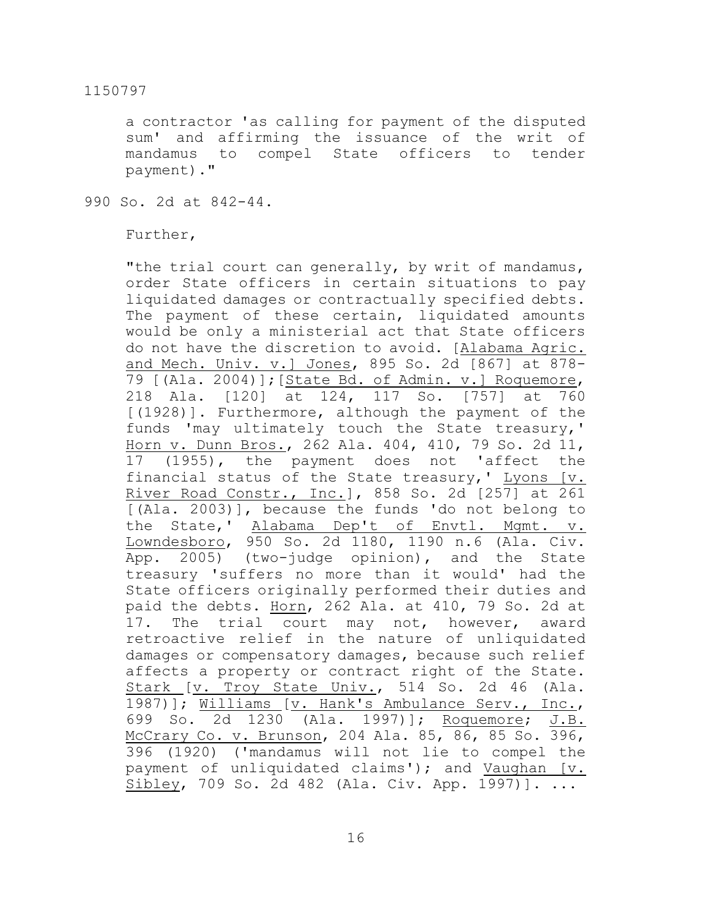a contractor 'as calling for payment of the disputed sum' and affirming the issuance of the writ of mandamus to compel State officers to tender payment)."

990 So. 2d at 842-44.

Further,

"the trial court can generally, by writ of mandamus, order State officers in certain situations to pay liquidated damages or contractually specified debts. The payment of these certain, liquidated amounts would be only a ministerial act that State officers do not have the discretion to avoid. [Alabama Agric. and Mech. Univ. v.] Jones, 895 So. 2d [867] at 878- 79 [(Ala. 2004)];[State Bd. of Admin. v.] Roquemore, 218 Ala. [120] at 124, 117 So. [757] at 760 [(1928)]. Furthermore, although the payment of the funds 'may ultimately touch the State treasury,' Horn v. Dunn Bros., 262 Ala. 404, 410, 79 So. 2d 11, 17 (1955), the payment does not 'affect the financial status of the State treasury,' Lyons  $[v.$ River Road Constr., Inc.], 858 So. 2d [257] at 261 [(Ala. 2003)], because the funds 'do not belong to the State,' Alabama Dep't of Envtl. Mgmt. v. Lowndesboro, 950 So. 2d 1180, 1190 n.6 (Ala. Civ. App. 2005) (two-judge opinion), and the State treasury 'suffers no more than it would' had the State officers originally performed their duties and paid the debts. Horn, 262 Ala. at 410, 79 So. 2d at 17. The trial court may not, however, award retroactive relief in the nature of unliquidated damages or compensatory damages, because such relief affects a property or contract right of the State. Stark [v. Troy State Univ., 514 So. 2d 46 (Ala. 1987)]; Williams [v. Hank's Ambulance Serv., Inc., 699 So. 2d 1230 (Ala. 1997)]; Roquemore; J.B. McCrary Co. v. Brunson, 204 Ala. 85, 86, 85 So. 396, 396 (1920) ('mandamus will not lie to compel the payment of unliquidated claims'); and Vaughan [v. Sibley, 709 So. 2d 482 (Ala. Civ. App. 1997)]. ...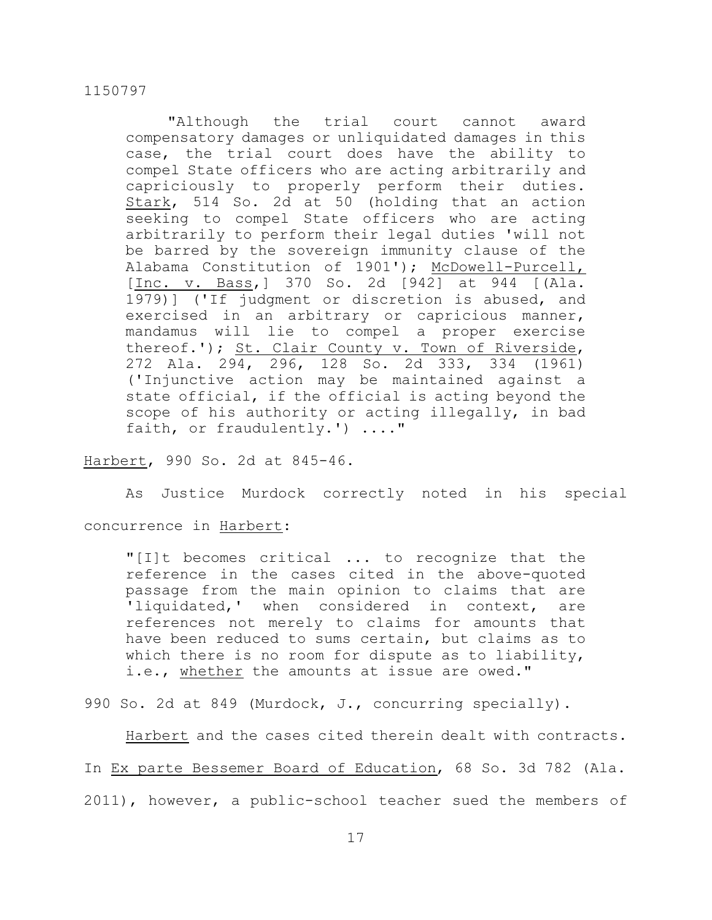"Although the trial court cannot award compensatory damages or unliquidated damages in this case, the trial court does have the ability to compel State officers who are acting arbitrarily and capriciously to properly perform their duties. Stark, 514 So. 2d at 50 (holding that an action seeking to compel State officers who are acting arbitrarily to perform their legal duties 'will not be barred by the sovereign immunity clause of the Alabama Constitution of 1901'); McDowell-Purcell, [Inc. v. Bass,] 370 So. 2d [942] at 944 [(Ala. 1979)] ('If judgment or discretion is abused, and exercised in an arbitrary or capricious manner, mandamus will lie to compel a proper exercise thereof.'); St. Clair County v. Town of Riverside, 272 Ala. 294, 296, 128 So. 2d 333, 334 (1961) ('Injunctive action may be maintained against a state official, if the official is acting beyond the scope of his authority or acting illegally, in bad faith, or fraudulently.') ...."

# Harbert, 990 So. 2d at 845-46.

As Justice Murdock correctly noted in his special

concurrence in Harbert:

"[I]t becomes critical ... to recognize that the reference in the cases cited in the above-quoted passage from the main opinion to claims that are 'liquidated,' when considered in context, are references not merely to claims for amounts that have been reduced to sums certain, but claims as to which there is no room for dispute as to liability, i.e., whether the amounts at issue are owed."

990 So. 2d at 849 (Murdock, J., concurring specially).

Harbert and the cases cited therein dealt with contracts. In Ex parte Bessemer Board of Education, 68 So. 3d 782 (Ala. 2011), however, a public-school teacher sued the members of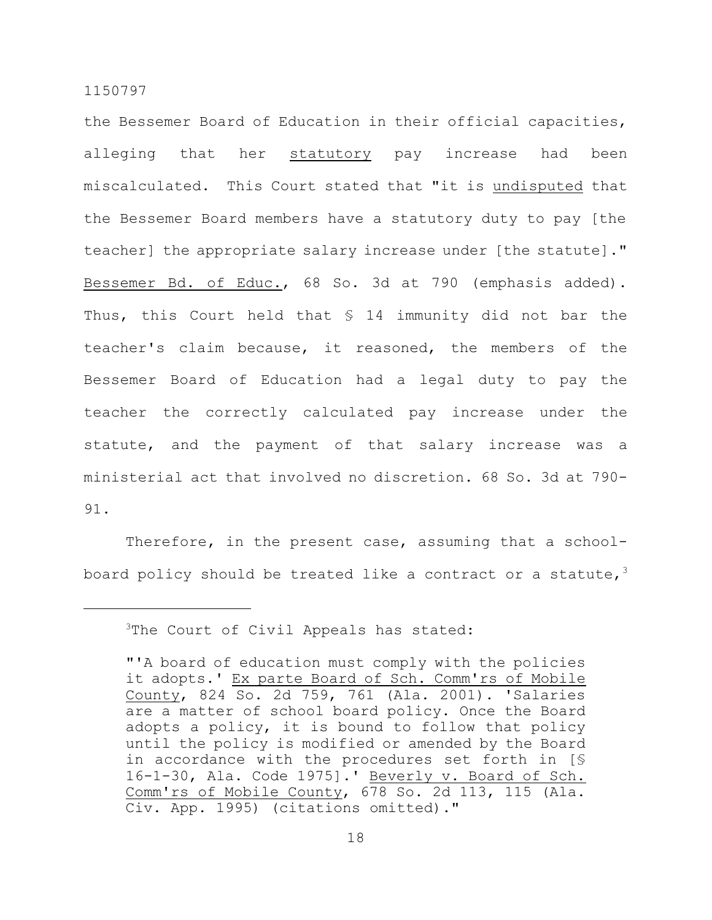the Bessemer Board of Education in their official capacities, alleging that her statutory pay increase had been miscalculated. This Court stated that "it is undisputed that the Bessemer Board members have a statutory duty to pay [the teacher] the appropriate salary increase under [the statute]." Bessemer Bd. of Educ., 68 So. 3d at 790 (emphasis added). Thus, this Court held that § 14 immunity did not bar the teacher's claim because, it reasoned, the members of the Bessemer Board of Education had a legal duty to pay the teacher the correctly calculated pay increase under the statute, and the payment of that salary increase was a ministerial act that involved no discretion. 68 So. 3d at 790- 91.

Therefore, in the present case, assuming that a schoolboard policy should be treated like a contract or a statute,  $3$ 

<sup>&</sup>lt;sup>3</sup>The Court of Civil Appeals has stated:

<sup>&</sup>quot;'A board of education must comply with the policies it adopts.' Ex parte Board of Sch. Comm'rs of Mobile County, 824 So. 2d 759, 761 (Ala. 2001). 'Salaries are a matter of school board policy. Once the Board adopts a policy, it is bound to follow that policy until the policy is modified or amended by the Board in accordance with the procedures set forth in [§ 16-1-30, Ala. Code 1975].' Beverly v. Board of Sch. Comm'rs of Mobile County, 678 So. 2d 113, 115 (Ala. Civ. App. 1995) (citations omitted)."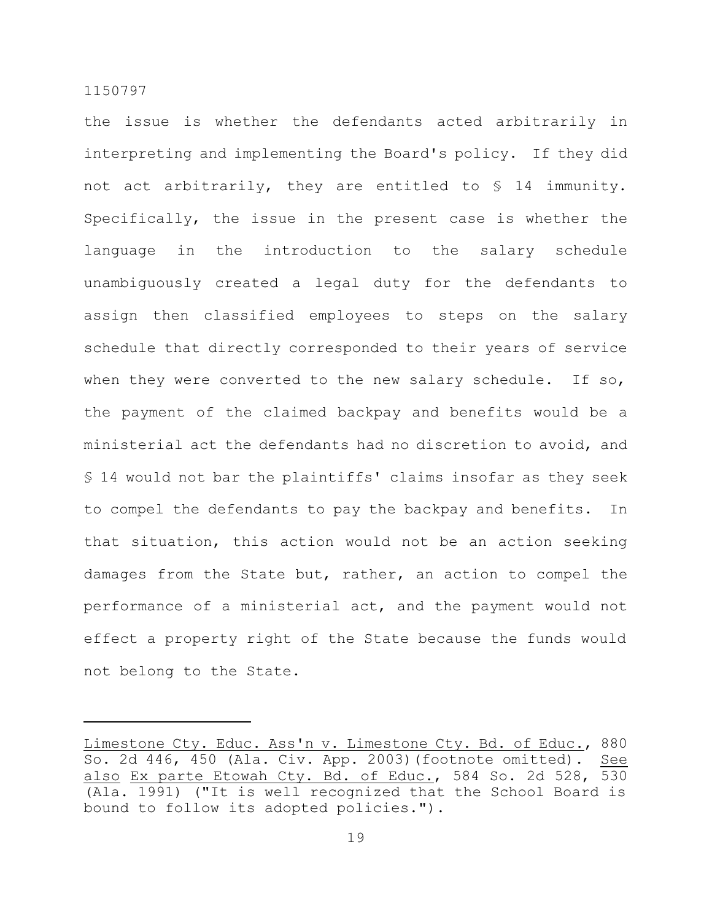the issue is whether the defendants acted arbitrarily in interpreting and implementing the Board's policy. If they did not act arbitrarily, they are entitled to § 14 immunity. Specifically, the issue in the present case is whether the language in the introduction to the salary schedule unambiguously created a legal duty for the defendants to assign then classified employees to steps on the salary schedule that directly corresponded to their years of service when they were converted to the new salary schedule. If so, the payment of the claimed backpay and benefits would be a ministerial act the defendants had no discretion to avoid, and § 14 would not bar the plaintiffs' claims insofar as they seek to compel the defendants to pay the backpay and benefits. In that situation, this action would not be an action seeking damages from the State but, rather, an action to compel the performance of a ministerial act, and the payment would not effect a property right of the State because the funds would not belong to the State.

Limestone Cty. Educ. Ass'n v. Limestone Cty. Bd. of Educ., 880 So. 2d 446, 450 (Ala. Civ. App. 2003)(footnote omitted). See also Ex parte Etowah Cty. Bd. of Educ., 584 So. 2d 528, 530 (Ala. 1991) ("It is well recognized that the School Board is bound to follow its adopted policies.").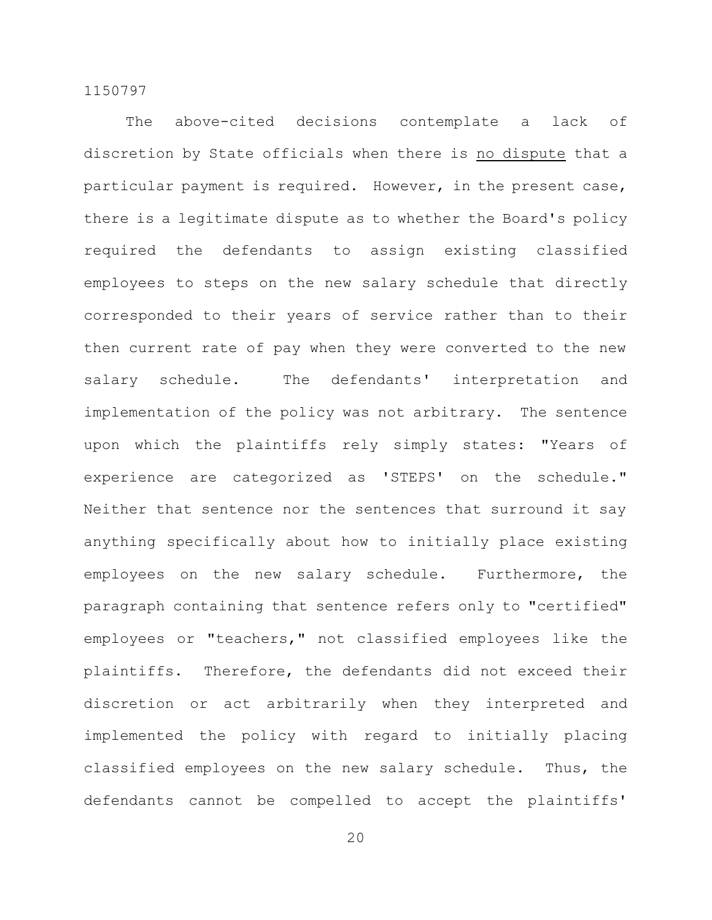The above-cited decisions contemplate a lack of discretion by State officials when there is no dispute that a particular payment is required. However, in the present case, there is a legitimate dispute as to whether the Board's policy required the defendants to assign existing classified employees to steps on the new salary schedule that directly corresponded to their years of service rather than to their then current rate of pay when they were converted to the new salary schedule. The defendants' interpretation and implementation of the policy was not arbitrary. The sentence upon which the plaintiffs rely simply states: "Years of experience are categorized as 'STEPS' on the schedule." Neither that sentence nor the sentences that surround it say anything specifically about how to initially place existing employees on the new salary schedule. Furthermore, the paragraph containing that sentence refers only to "certified" employees or "teachers," not classified employees like the plaintiffs. Therefore, the defendants did not exceed their discretion or act arbitrarily when they interpreted and implemented the policy with regard to initially placing classified employees on the new salary schedule. Thus, the defendants cannot be compelled to accept the plaintiffs'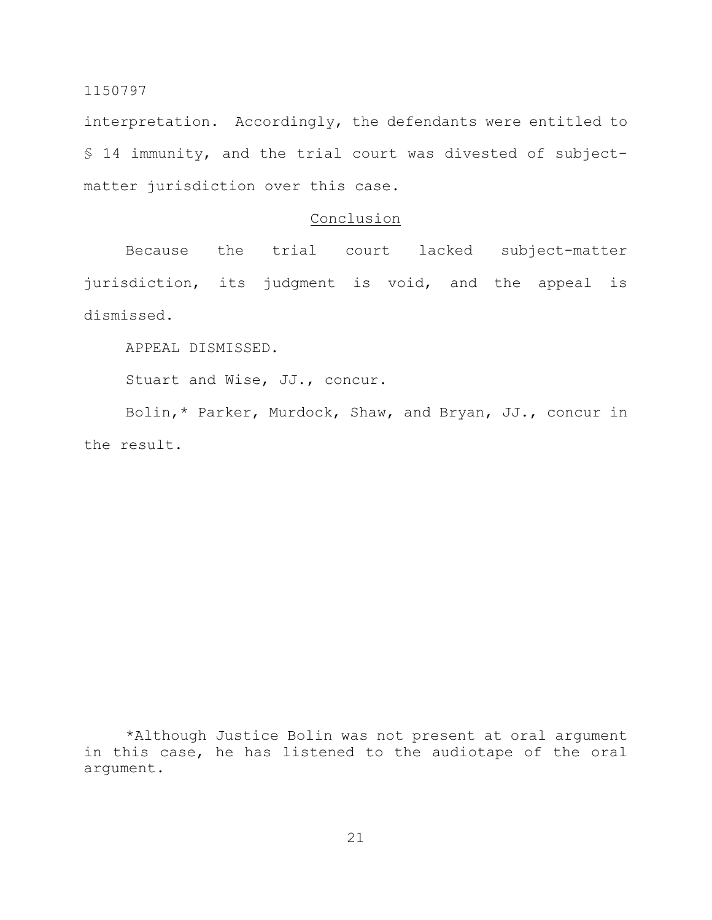interpretation. Accordingly, the defendants were entitled to § 14 immunity, and the trial court was divested of subjectmatter jurisdiction over this case.

# Conclusion

Because the trial court lacked subject-matter jurisdiction, its judgment is void, and the appeal is dismissed.

APPEAL DISMISSED.

Stuart and Wise, JJ., concur.

Bolin,\* Parker, Murdock, Shaw, and Bryan, JJ., concur in the result.

\*Although Justice Bolin was not present at oral argument in this case, he has listened to the audiotape of the oral argument.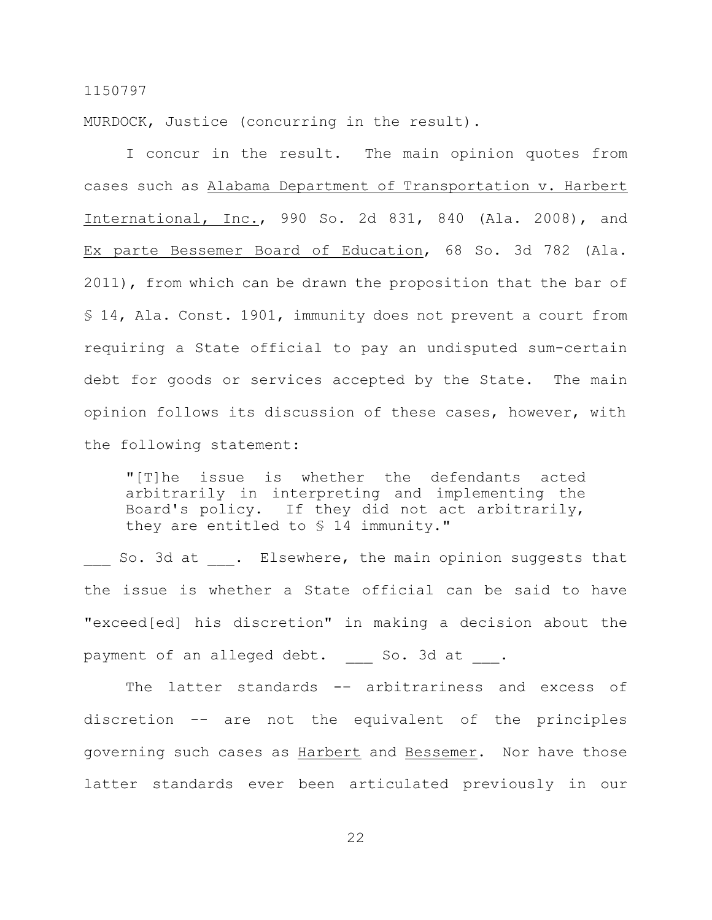MURDOCK, Justice (concurring in the result).

I concur in the result. The main opinion quotes from cases such as Alabama Department of Transportation v. Harbert International, Inc., 990 So. 2d 831, 840 (Ala. 2008), and Ex parte Bessemer Board of Education, 68 So. 3d 782 (Ala. 2011), from which can be drawn the proposition that the bar of § 14, Ala. Const. 1901, immunity does not prevent a court from requiring a State official to pay an undisputed sum-certain debt for goods or services accepted by the State. The main opinion follows its discussion of these cases, however, with the following statement:

"[T]he issue is whether the defendants acted arbitrarily in interpreting and implementing the Board's policy. If they did not act arbitrarily, they are entitled to § 14 immunity."

So. 3d at . Elsewhere, the main opinion suggests that the issue is whether a State official can be said to have "exceed[ed] his discretion" in making a decision about the payment of an alleged debt. So. 3d at .

The latter standards -- arbitrariness and excess of discretion -- are not the equivalent of the principles governing such cases as Harbert and Bessemer. Nor have those latter standards ever been articulated previously in our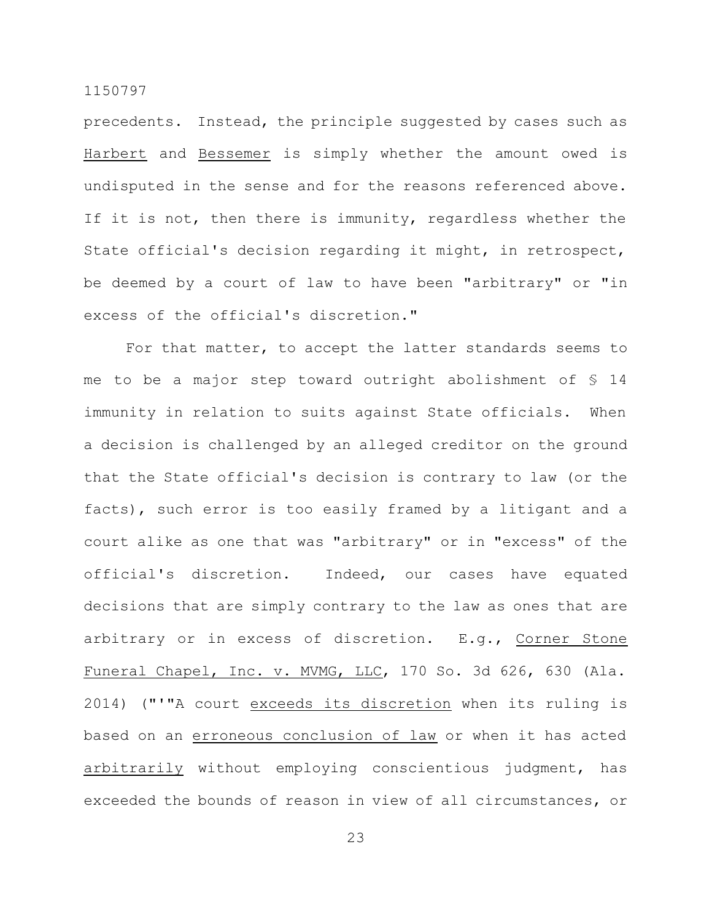precedents. Instead, the principle suggested by cases such as Harbert and Bessemer is simply whether the amount owed is undisputed in the sense and for the reasons referenced above. If it is not, then there is immunity, regardless whether the State official's decision regarding it might, in retrospect, be deemed by a court of law to have been "arbitrary" or "in excess of the official's discretion."

For that matter, to accept the latter standards seems to me to be a major step toward outright abolishment of § 14 immunity in relation to suits against State officials. When a decision is challenged by an alleged creditor on the ground that the State official's decision is contrary to law (or the facts), such error is too easily framed by a litigant and a court alike as one that was "arbitrary" or in "excess" of the official's discretion. Indeed, our cases have equated decisions that are simply contrary to the law as ones that are arbitrary or in excess of discretion. E.g., Corner Stone Funeral Chapel, Inc. v. MVMG, LLC, 170 So. 3d 626, 630 (Ala. 2014) ("'"A court exceeds its discretion when its ruling is based on an erroneous conclusion of law or when it has acted arbitrarily without employing conscientious judgment, has exceeded the bounds of reason in view of all circumstances, or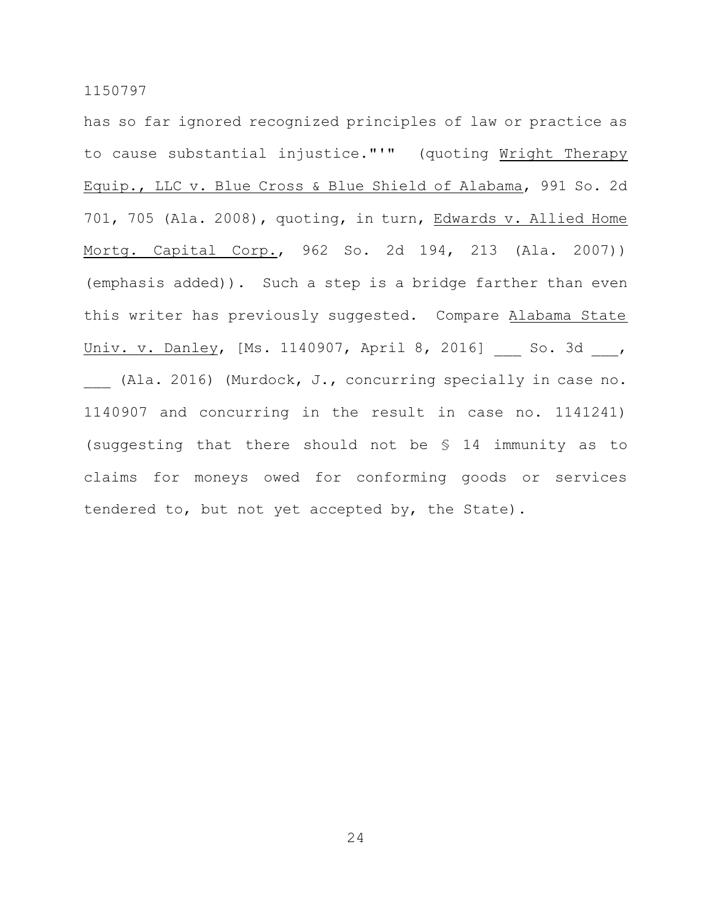has so far ignored recognized principles of law or practice as to cause substantial injustice."'" (quoting Wright Therapy Equip., LLC v. Blue Cross & Blue Shield of Alabama, 991 So. 2d 701, 705 (Ala. 2008), quoting, in turn, Edwards v. Allied Home Mortg. Capital Corp., 962 So. 2d 194, 213 (Ala. 2007)) (emphasis added)). Such a step is a bridge farther than even this writer has previously suggested. Compare Alabama State Univ. v. Danley, [Ms. 1140907, April 8, 2016] So. 3d , (Ala. 2016) (Murdock, J., concurring specially in case no. 1140907 and concurring in the result in case no. 1141241) (suggesting that there should not be § 14 immunity as to claims for moneys owed for conforming goods or services tendered to, but not yet accepted by, the State).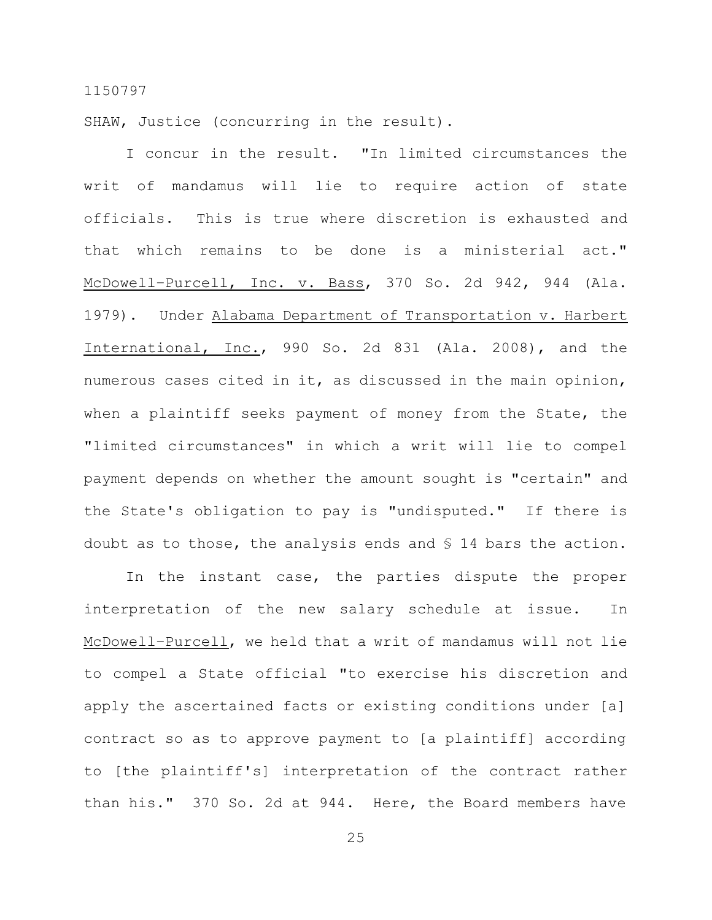SHAW, Justice (concurring in the result).

I concur in the result. "In limited circumstances the writ of mandamus will lie to require action of state officials. This is true where discretion is exhausted and that which remains to be done is a ministerial act." McDowell–Purcell, Inc. v. Bass, 370 So. 2d 942, 944 (Ala. 1979). Under Alabama Department of Transportation v. Harbert International, Inc., 990 So. 2d 831 (Ala. 2008), and the numerous cases cited in it, as discussed in the main opinion, when a plaintiff seeks payment of money from the State, the "limited circumstances" in which a writ will lie to compel payment depends on whether the amount sought is "certain" and the State's obligation to pay is "undisputed." If there is doubt as to those, the analysis ends and § 14 bars the action.

In the instant case, the parties dispute the proper interpretation of the new salary schedule at issue. In McDowell–Purcell, we held that a writ of mandamus will not lie to compel a State official "to exercise his discretion and apply the ascertained facts or existing conditions under [a] contract so as to approve payment to [a plaintiff] according to [the plaintiff's] interpretation of the contract rather than his." 370 So. 2d at 944. Here, the Board members have